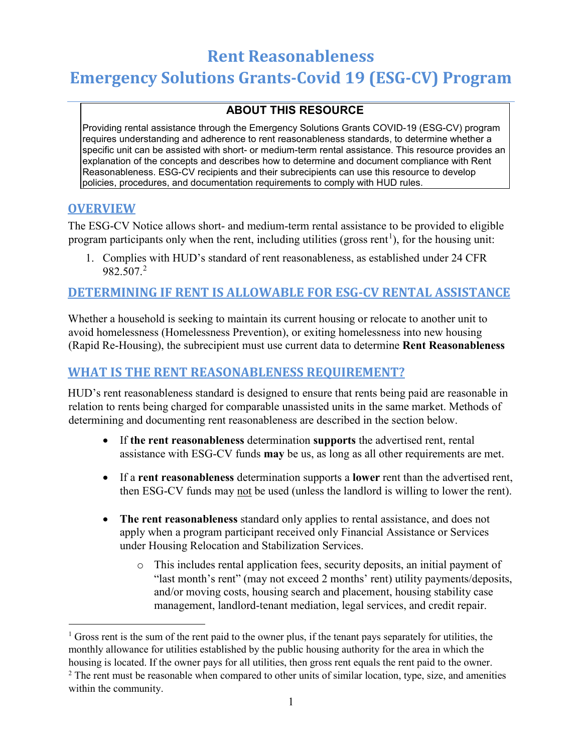# **Rent Reasonableness Emergency Solutions Grants-Covid 19 (ESG-CV) Program**

## **ABOUT THIS RESOURCE**

Providing rental assistance through the Emergency Solutions Grants COVID-19 (ESG-CV) program requires understanding and adherence to rent reasonableness standards, to determine whether a specific unit can be assisted with short- or medium-term rental assistance. This resource provides an explanation of the concepts and describes how to determine and document compliance with Rent Reasonableness. ESG-CV recipients and their subrecipients can use this resource to develop policies, procedures, and documentation requirements to comply with HUD rules.

### **OVERVIEW**

The ESG-CV Notice allows short- and medium-term rental assistance to be provided to eligible program participants only when the rent, including utilities (gross rent<sup>[1](#page-0-0)</sup>), for the housing unit:

1. Complies with HUD's standard of rent reasonableness, as established under 24 CFR 982.507.[2](#page-0-1)

## **DETERMINING IF RENT IS ALLOWABLE FOR ESG-CV RENTAL ASSISTANCE**

Whether a household is seeking to maintain its current housing or relocate to another unit to avoid homelessness (Homelessness Prevention), or exiting homelessness into new housing (Rapid Re-Housing), the subrecipient must use current data to determine **Rent Reasonableness**

## **WHAT IS THE RENT REASONABLENESS REQUIREMENT?**

HUD's rent reasonableness standard is designed to ensure that rents being paid are reasonable in relation to rents being charged for comparable unassisted units in the same market. Methods of determining and documenting rent reasonableness are described in the section below.

- If **the rent reasonableness** determination **supports** the advertised rent, rental assistance with ESG-CV funds **may** be us, as long as all other requirements are met.
- If a **rent reasonableness** determination supports a **lower** rent than the advertised rent, then ESG-CV funds may not be used (unless the landlord is willing to lower the rent).
- **The rent reasonableness** standard only applies to rental assistance, and does not apply when a program participant received only Financial Assistance or Services under Housing Relocation and Stabilization Services.
	- o This includes rental application fees, security deposits, an initial payment of "last month's rent" (may not exceed 2 months' rent) utility payments/deposits, and/or moving costs, housing search and placement, housing stability case management, landlord-tenant mediation, legal services, and credit repair.

<span id="page-0-0"></span><sup>&</sup>lt;sup>1</sup> Gross rent is the sum of the rent paid to the owner plus, if the tenant pays separately for utilities, the monthly allowance for utilities established by the public housing authority for the area in which the housing is located. If the owner pays for all utilities, then gross rent equals the rent paid to the owner.

<span id="page-0-1"></span> $2$  The rent must be reasonable when compared to other units of similar location, type, size, and amenities within the community.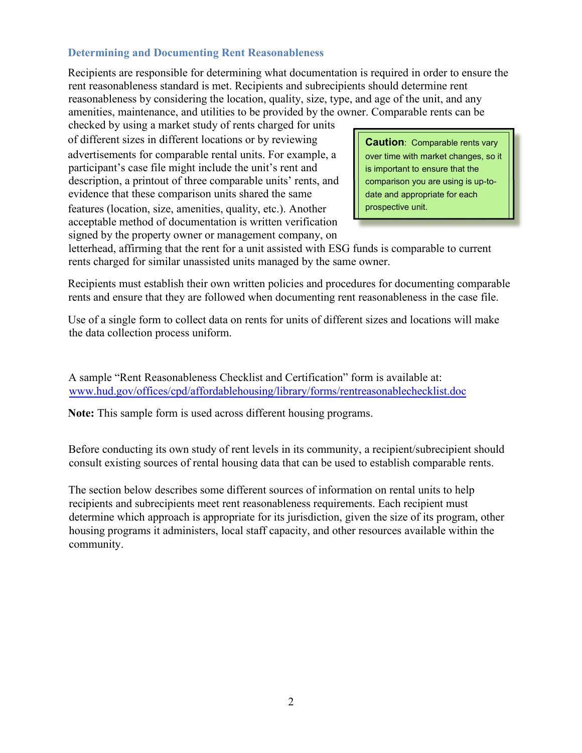#### **Determining and Documenting Rent Reasonableness**

Recipients are responsible for determining what documentation is required in order to ensure the rent reasonableness standard is met. Recipients and subrecipients should determine rent reasonableness by considering the location, quality, size, type, and age of the unit, and any amenities, maintenance, and utilities to be provided by the owner. Comparable rents can be

checked by using a market study of rents charged for units of different sizes in different locations or by reviewing advertisements for comparable rental units. For example, a participant's case file might include the unit's rent and description, a printout of three comparable units' rents, and evidence that these comparison units shared the same features (location, size, amenities, quality, etc.). Another acceptable method of documentation is written verification signed by the property owner or management company, on

**Caution**: Comparable rents vary over time with market changes, so it is important to ensure that the comparison you are using is up-todate and appropriate for each prospective unit.

letterhead, affirming that the rent for a unit assisted with ESG funds is comparable to current rents charged for similar unassisted units managed by the same owner.

Recipients must establish their own written policies and procedures for documenting comparable rents and ensure that they are followed when documenting rent reasonableness in the case file.

Use of a single form to collect data on rents for units of different sizes and locations will make the data collection process uniform.

[A sample "Rent Reasonableness Checklist and Certification" form is available at:](http://www.hud.gov/offices/cpd/affordablehousing/library/forms/rentreasonablechecklist.doc)  www.hud.gov/offices/cpd/affordablehousing/library/forms/rentreasonablechecklist.doc

**Note:** This sample form is used across different housing programs.

Before conducting its own study of rent levels in its community, a recipient/subrecipient should consult existing sources of rental housing data that can be used to establish comparable rents.

The section below describes some different sources of information on rental units to help recipients and subrecipients meet rent reasonableness requirements. Each recipient must determine which approach is appropriate for its jurisdiction, given the size of its program, other housing programs it administers, local staff capacity, and other resources available within the community.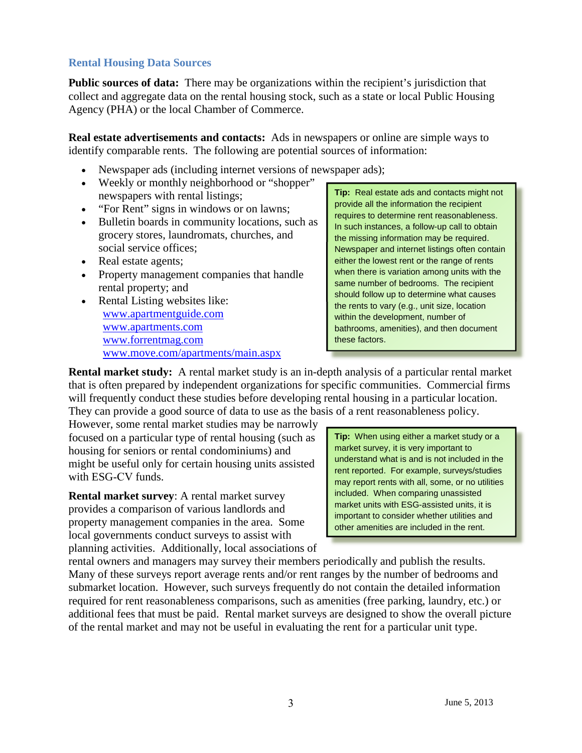#### **Rental Housing Data Sources**

**Public sources of data:** There may be organizations within the recipient's jurisdiction that collect and aggregate data on the rental housing stock, such as a state or local Public Housing Agency (PHA) or the local Chamber of Commerce.

**Real estate advertisements and contacts:** Ads in newspapers or online are simple ways to identify comparable rents. The following are potential sources of information:

- Newspaper ads (including internet versions of newspaper ads);
- Weekly or monthly neighborhood or "shopper"
- 
- grocery stores, laundromats, churches, and<br>social service offices:<br>Newspaper and internet listings often con
- 
- 
- [www.apartmentguide.com](http://www.apartmentguide.com/) www.apartments.com www.apartments.com bathrooms. amenities), and then do [www.forrentmag.com](http://www.forrentmag.com/) between these factors. www.move.com/apartments/main.aspx

newspapers with rental listings;<br>
"For Rent" signs in windows or on lawns;<br>
Bulletin boards in community locations, such as<br>  $\begin{array}{|l|l|}\n\hline\n\text{Iip: Real estate ads and contacts might not provide all the information the recipient  
requires to determine rent reasonableness. In such instances, a follow-up call to obtain\n\end{array}$ Newspaper and internet listings often contain Real estate agents;<br>
Property management companies that handle<br>
when there is variation among units with the • Property management companies that handle<br>
rental property; and<br>
Rental Listing websites like:<br>
Rental Listing websites like:<br>
ame number of bedrooms. The recipient<br>
should follow up to determine what causes<br>
the rents t bathrooms, amenities), and then document

**Rental market study:** A rental market study is an in-depth analysis of a particular rental market that is often prepared by independent organizations for specific communities. Commercial firms will frequently conduct these studies before developing rental housing in a particular location. They can provide a good source of data to use as the basis of a rent reasonableness policy.

However, some rental market studies may be narrowly focused on a particular type of rental housing (such as housing for seniors or rental condominiums) and might be useful only for certain housing units assisted with ESG-CV funds.

**Rental market survey**: A rental market survey provides a comparison of various landlords and property management companies in the area. Some local governments conduct surveys to assist with planning activities. Additionally, local associations of

**Tip:** When using either a market study or a market survey, it is very important to understand what is and is not included in the rent reported. For example, surveys/studies may report rents with all, some, or no utilities included. When comparing unassisted market units with ESG-assisted units, it is important to consider whether utilities and

rental owners and managers may survey their members periodically and publish the results. Many of these surveys report average rents and/or rent ranges by the number of bedrooms and submarket location. However, such surveys frequently do not contain the detailed information required for rent reasonableness comparisons, such as amenities (free parking, laundry, etc.) or additional fees that must be paid. Rental market surveys are designed to show the overall picture of the rental market and may not be useful in evaluating the rent for a particular unit type.